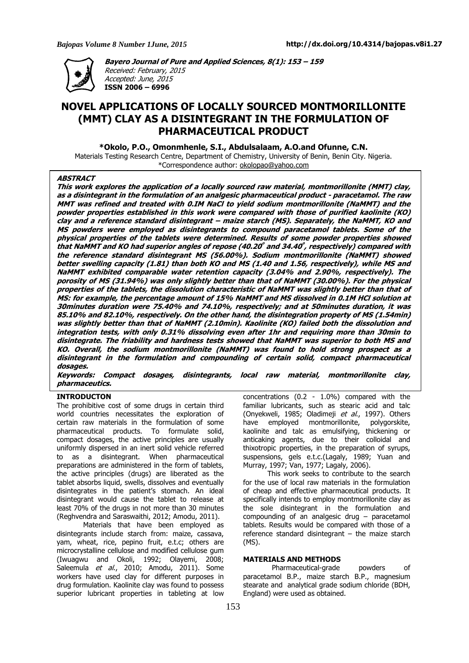

**Bayero Journal of Pure and Applied Sciences, 8(1): 153 – 159**  Received: February, 2015 Accepted: June, 2015 **ISSN 2006 – 6996** 

# **NOVEL APPLICATIONS OF LOCALLY SOURCED MONTMORILLONITE (MMT) CLAY AS A DISINTEGRANT IN THE FORMULATION OF PHARMACEUTICAL PRODUCT**

**\*Okolo, P.O., Omonmhenle, S.I., Abdulsalaam, A.O.and Ofunne, C.N.** 

Materials Testing Research Centre, Department of Chemistry, University of Benin, Benin City. Nigeria. \*Correspondence author: okolopao@yahoo.com

## **ABSTRACT**

**This work explores the application of a locally sourced raw material, montmorillonite (MMT) clay, as a disintegrant in the formulation of an analgesic pharmaceutical product - paracetamol. The raw MMT was refined and treated with 0.IM NaCl to yield sodium montmorillonite (NaMMT) and the powder properties established in this work were compared with those of purified kaolinite (KO) clay and a reference standard disintegrant – maize starch (MS). Separately, the NaMMT, KO and MS powders were employed as disintegrants to compound paracetamol tablets. Some of the physical properties of the tablets were determined. Results of some powder properties showed that NaMMT and KO had superior angles of repose (40.20 º and 34.40 º , respectively) compared with the reference standard disintegrant MS (56.00%). Sodium montmorillonite (NaMMT) showed better swelling capacity (1.81) than both KO and MS (1.40 and 1.56, respectively), while MS and NaMMT exhibited comparable water retention capacity (3.04% and 2.90%, respectively). The porosity of MS (31.94%) was only slightly better than that of NaMMT (30.00%). For the physical properties of the tablets, the dissolution characteristic of NaMMT was slightly better than that of MS: for example, the percentage amount of 15% NaMMT and MS dissolved in 0.1M HCl solution at 30minutes duration were 75.40% and 74.10%, respectively; and at 50minutes duration, it was 85.10% and 82.10%, respectively. On the other hand, the disintegration property of MS (1.54min) was slightly better than that of NaMMT (2.10min). Kaolinite (KO) failed both the dissolution and integration tests, with only 0.31% dissolving even after 1hr and requiring more than 30min to disintegrate. The friability and hardness tests showed that NaMMT was superior to both MS and KO. Overall, the sodium montmorillonite (NaMMT) was found to hold strong prospect as a disintegrant in the formulation and compounding of certain solid, compact pharmaceutical dosages.** 

**Keywords: Compact dosages, disintegrants, local raw material, montmorillonite clay, pharmaceutics.** 

## **INTRODUCTON**

The prohibitive cost of some drugs in certain third world countries necessitates the exploration of certain raw materials in the formulation of some pharmaceutical products. To formulate solid, compact dosages, the active principles are usually uniformly dispersed in an inert solid vehicle referred to as a disintegrant. When pharmaceutical preparations are administered in the form of tablets, the active principles (drugs) are liberated as the tablet absorbs liquid, swells, dissolves and eventually disintegrates in the patient's stomach. An ideal disintegrant would cause the tablet to release at least 70% of the drugs in not more than 30 minutes (Reghvendra and Saraswaithi, 2012; Amodu, 2011).

 Materials that have been employed as disintegrants include starch from: maize, cassava, yam, wheat, rice, pepino fruit, e.t.c; others are microcrystalline cellulose and modified cellulose gum (Iwuagwu and Okoli, 1992; Olayemi, 2008; Saleemula *et al.*, 2010; Amodu, 2011). Some workers have used clay for different purposes in drug formulation. Kaolinite clay was found to possess superior lubricant properties in tableting at low

concentrations (0.2 - 1.0%) compared with the familiar lubricants, such as stearic acid and talc (Onyekweli, 1985; Oladimeji et al., 1997). Others have employed montmorillonite, polygorskite, kaolinite and talc as emulsifying, thickening or anticaking agents, due to their colloidal and thixotropic properties, in the preparation of syrups, suspensions, gels e.t.c.(Lagaly, 1989; Yuan and Murray, 1997; Van, 1977; Lagaly, 2006).

 This work seeks to contribute to the search for the use of local raw materials in the formulation of cheap and effective pharmaceutical products. It specifically intends to employ montmorillonite clay as the sole disintegrant in the formulation and compounding of an analgesic drug – paracetamol tablets. Results would be compared with those of a reference standard disintegrant – the maize starch (MS).

#### **MATERIALS AND METHODS**

Pharmaceutical-grade powders of paracetamol B.P., maize starch B.P., magnesium stearate and analytical grade sodium chloride (BDH, England) were used as obtained.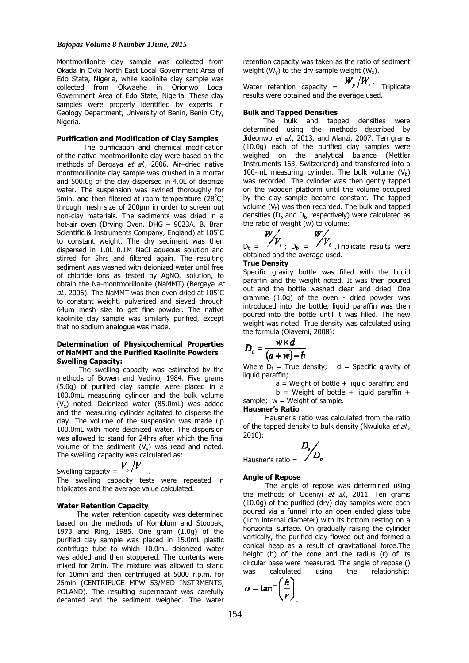#### *Bajopas Volume 8 Number 1June, 2015*

Montmorillonite clay sample was collected from Okada in Ovia North East Local Government Area of Edo State, Nigeria, while kaolinite clay sample was collected from Okwaehe in Orionwo Local Government Area of Edo State, Nigeria. These clay samples were properly identified by experts in Geology Department, University of Benin, Benin City, Nigeria

#### **Purification and Modification of Clay Samples**

 The purification and chemical modification of the native montmorillonite clay were based on the methods of Bergaya et al., 2006. Air-dried native montmorillonite clay sample was crushed in a mortar and 500.0g of the clay dispersed in 4.0L of deionize water. The suspension was swirled thoroughly for 5min, and then filtered at room temperature  $(28^{\circ}C)$ through mesh size of 200µm in order to screen out non-clay materials. The sediments was dried in a hot-air oven (Drying Oven. DHG – 9023A. B. Bran Scientific & Instruments Company, England) at 105<sup>º</sup>C to constant weight. The dry sediment was then dispersed in 1.0L 0.1M NaCl aqueous solution and stirred for 5hrs and filtered again. The resulting sediment was washed with deionized water until free of chloride ions as tested by  $AqNO<sub>3</sub>$  solution, to obtain the Na-montmorillonite (NaMMT) (Bergaya et al., 2006). The NaMMT was then oven dried at  $105^{\circ}$ C to constant weight, pulverized and sieved through 64µm mesh size to get fine powder. The native kaolinite clay sample was similarly purified, except that no sodium analogue was made.

## **Determination of Physicochemical Properties of NaMMT and the Purified Kaolinite Powders Swelling Capacity:**

 The swelling capacity was estimated by the methods of Bowen and Vadino, 1984. Five grams (5.0g) of purified clay sample were placed in a 100.0mL measuring cylinder and the bulk volume  $(V_x)$  noted. Deionized water (85.0mL) was added and the measuring cylinder agitated to disperse the clay. The volume of the suspension was made up 100.0mL with more deionized water. The dispersion was allowed to stand for 24hrs after which the final volume of the sediment  $(V_y)$  was read and noted. The swelling capacity was calculated as:

Swelling capacity = 
$$
V_{\nu}/V_{x}
$$
. The swelling capacity tests were repeated in triplicates and the average value calculated.

#### **Water Retention Capacity**

 The water retention capacity was determined based on the methods of Komblum and Stoopak, 1973 and Ring, 1985. One gram (1.0g) of the purified clay sample was placed in 15.0mL plastic centrifuge tube to which 10.0mL deionized water was added and then stoppered. The contents were mixed for 2min. The mixture was allowed to stand for 10min and then centrifuged at 5000 r.p.m. for 25min (CENTRIFUGE MPW 53/MED INSTRMENTS, POLAND). The resulting supernatant was carefully decanted and the sediment weighed. The water retention capacity was taken as the ratio of sediment weight ( $W_y$ ) to the dry sample weight ( $W_x$ ).

Water retention capacity =  $W_y/W_x$ . Triplicate results were obtained and the average used.

#### **Bulk and Tapped Densities**

 The bulk and tapped densities were determined using the methods described by Jideonwo et al., 2013, and Alanzi, 2007. Ten grams (10.0g) each of the purified clay samples were weighed on the analytical balance (Mettler Instruments 163, Switzerland) and transferred into a 100-mL measuring cylinder. The bulk volume  $(V<sub>b</sub>)$ was recorded. The cylinder was then gently tapped on the wooden platform until the volume occupied by the clay sample became constant. The tapped volume  $(V<sub>t</sub>)$  was then recorded. The bulk and tapped densities (D<sub>b</sub> and D<sub>t</sub>, respectively) were calculated as the ratio of weight (w) to volume:

$$
\begin{array}{cc} \n\sqrt{1} & & W \\
V & & \n\end{array}
$$

 $D_t = \langle T^T a, D_b = \langle T^T a, T^T a \rangle$  Triplicate results were obtained and the average used.

## **True Density**

 $W$ 

Specific gravity bottle was filled with the liquid paraffin and the weight noted. It was then poured out and the bottle washed clean and dried. One gramme (1.0g) of the oven - dried powder was introduced into the bottle, liquid paraffin was then poured into the bottle until it was filled. The new weight was noted. True density was calculated using the formula (Olayemi, 2008):

$$
D_t = \frac{w \times d}{(a+w)-b}
$$

Where  $D_t$  = True density; d = Specific gravity of liquid paraffin;

 $a =$  Weight of bottle  $+$  liquid paraffin; and  $b =$  Weight of bottle + liquid paraffin + sample;  $w = Weight of sample$ .

## **Hausner's Ratio**

 Hausner's ratio was calculated from the ratio of the tapped density to bulk density (Nwuluka et al., 2010):

$$
\boxed{D_{\iota}\!\!\big/_{\!\!\! D_{\iota}}}
$$

Hausner's ratio =  $\sqrt{ }$ 

#### **Angle of Repose**

 The angle of repose was determined using the methods of Odeniyi et al., 2011. Ten grams (10.0g) of the purified (dry) clay samples were each poured via a funnel into an open ended glass tube (1cm internal diameter) with its bottom resting on a horizontal surface. On gradually raising the cylinder vertically, the purified clay flowed out and formed a conical heap as a result of gravitational force.The height (h) of the cone and the radius (r) of its circular base were measured. The angle of repose () was calculated using the relationship:

$$
\alpha - \tan^{-1}\left(\frac{h}{r}\right)
$$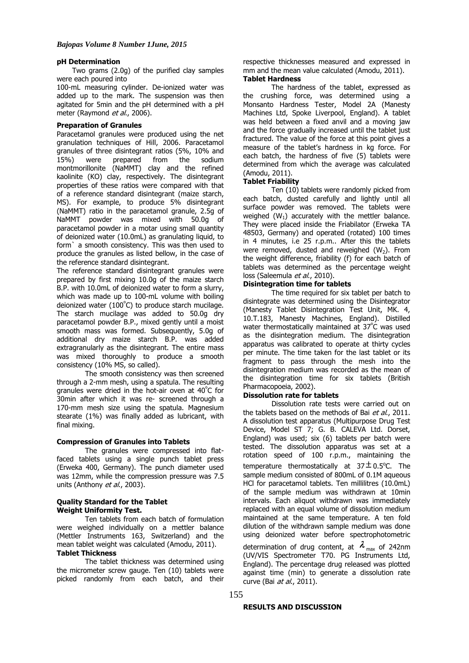#### **pH Determination**

 Two grams (2.0g) of the purified clay samples were each poured into

100-mL measuring cylinder. De-ionized water was added up to the mark. The suspension was then agitated for 5min and the pH determined with a pH meter (Raymond et al., 2006).

## **Preparation of Granules**

Paracetamol granules were produced using the net granulation techniques of Hill, 2006. Paracetamol granules of three disintegrant ratios (5%, 10% and 15%) were prepared from the sodium 15%) were prepared from the sodium montmorillonite (NaMMT) clay and the refined kaolinite (KO) clay, respectively. The disintegrant properties of these ratios were compared with that of a reference standard disintegrant (maize starch, MS). For example, to produce 5% disintegrant (NaMMT) ratio in the paracetamol granule, 2.5g of NaMMT powder was mixed with 50.0g of paracetamol powder in a motar using small quantity of deionized water (10.0mL) as granulating liquid, to form` a smooth consistency. This was then used to produce the granules as listed bellow, in the case of the reference standard disintegrant.

The reference standard disintegrant granules were prepared by first mixing 10.0g of the maize starch B.P. with 10.0mL of deionized water to form a slurry, which was made up to 100-mL volume with boiling deionized water (100<sup>º</sup>C) to produce starch mucilage. The starch mucilage was added to 50.0g dry paracetamol powder B.P., mixed gently until a moist smooth mass was formed. Subsequently, 5.0g of additional dry maize starch B.P. was added extragranularly as the disintegrant. The entire mass was mixed thoroughly to produce a smooth consistency (10% MS, so called).

The smooth consistency was then screened through a 2-mm mesh, using a spatula. The resulting granules were dried in the hot-air oven at 40<sup>º</sup>C for 30min after which it was re- screened through a 170-mm mesh size using the spatula. Magnesium stearate (1%) was finally added as lubricant, with final mixing.

#### **Compression of Granules into Tablets**

The granules were compressed into flatfaced tablets using a single punch tablet press (Erweka 400, Germany). The punch diameter used was 12mm, while the compression pressure was 7.5 units (Anthony et al., 2003).

## **Quality Standard for the Tablet Weight Uniformity Test.**

Ten tablets from each batch of formulation were weighed individually on a mettler balance (Mettler Instruments 163, Switzerland) and the mean tablet weight was calculated (Amodu, 2011). **Tablet Thickness**

The tablet thickness was determined using the micrometer screw gauge. Ten (10) tablets were picked randomly from each batch, and their respective thicknesses measured and expressed in mm and the mean value calculated (Amodu, 2011). **Tablet Hardness**

The hardness of the tablet, expressed as the crushing force, was determined using a Monsanto Hardness Tester, Model 2A (Manesty Machines Ltd, Spoke Liverpool, England). A tablet was held between a fixed anvil and a moving jaw and the force gradually increased until the tablet just fractured. The value of the force at this point gives a measure of the tablet's hardness in kg force. For each batch, the hardness of five (5) tablets were determined from which the average was calculated (Amodu, 2011).

## **Tablet Friability**

Ten (10) tablets were randomly picked from each batch, dusted carefully and lightly until all surface powder was removed. The tablets were weighed  $(W_1)$  accurately with the mettler balance. They were placed inside the Friabilator (Erweka TA 48503, Germany) and operated (rotated) 100 times in 4 minutes, i.e 25 r.p.m.. After this the tablets were removed, dusted and reweighed  $(W_2)$ . From the weight difference, friability (f) for each batch of tablets was determined as the percentage weight loss (Saleemula et al., 2010).

#### **Disintegration time for tablets**

The time required for six tablet per batch to disintegrate was determined using the Disintegrator (Manesty Tablet Disintegration Test Unit, MK. 4, 10.T.183, Manesty Machines, England). Distilled water thermostatically maintained at 37<sup>º</sup>C was used as the disintegration medium. The disintegration apparatus was calibrated to operate at thirty cycles per minute. The time taken for the last tablet or its fragment to pass through the mesh into the disintegration medium was recorded as the mean of the disintegration time for six tablets (British Pharmacopoeia, 2002).

## **Dissolution rate for tablets**

Dissolution rate tests were carried out on the tablets based on the methods of Bai et al., 2011. A dissolution test apparatus (Multipurpose Drug Test Device, Model ST 7; G. B. CALEVA Ltd. Dorset, England) was used; six (6) tablets per batch were tested. The dissolution apparatus was set at a rotation speed of 100 r.p.m., maintaining the temperature thermostatically at  $37<sup>\pm</sup> 0.5$ °C. The sample medium consisted of 800mL of 0.1M aqueous HCl for paracetamol tablets. Ten millilitres (10.0mL) of the sample medium was withdrawn at 10min intervals. Each aliquot withdrawn was immediately replaced with an equal volume of dissolution medium maintained at the same temperature. A ten fold dilution of the withdrawn sample medium was done using deionized water before spectrophotometric

determination of drug content, at  $\lambda_{\text{max}}$  of 242nm (UV/VIS Spectrometer T70. PG Instruments Ltd, England). The percentage drug released was plotted against time (min) to generate a dissolution rate curve (Bai *at al.*, 2011).

#### **RESULTS AND DISCUSSION**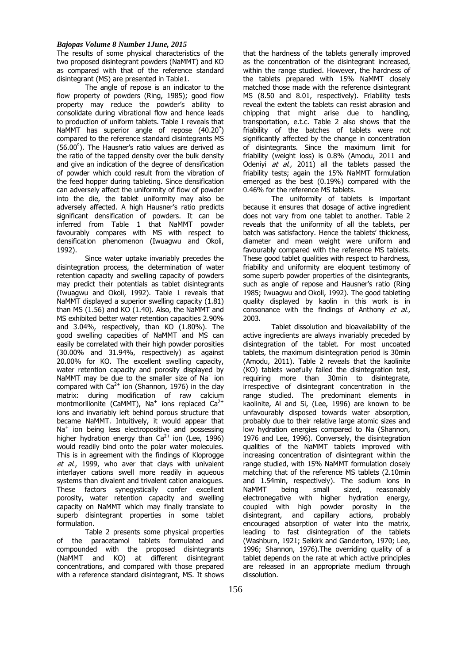#### *Bajopas Volume 8 Number 1June, 2015*

The results of some physical characteristics of the two proposed disintegrant powders (NaMMT) and KO as compared with that of the reference standard disintegrant (MS) are presented in Table1.

The angle of repose is an indicator to the flow property of powders (Ring, 1985); good flow property may reduce the powder's ability to consolidate during vibrational flow and hence leads to production of uniform tablets. Table 1 reveals that NaMMT has superior angle of repose  $(40.20^{\circ})$ compared to the reference standard disintegrants MS (56.00 $^{\circ}$ ). The Hausner's ratio values are derived as the ratio of the tapped density over the bulk density and give an indication of the degree of densification of powder which could result from the vibration of the feed hopper during tableting. Since densification can adversely affect the uniformity of flow of powder into the die, the tablet uniformity may also be adversely affected. A high Hausner's ratio predicts significant densification of powders. It can be inferred from Table 1 that NaMMT powder favourably compares with MS with respect to densification phenomenon (Iwuagwu and Okoli, 1992).

Since water uptake invariably precedes the disintegration process, the determination of water retention capacity and swelling capacity of powders may predict their potentials as tablet disintegrants (Iwuagwu and Okoli, 1992). Table 1 reveals that NaMMT displayed a superior swelling capacity (1.81) than MS (1.56) and KO (1.40). Also, the NaMMT and MS exhibited better water retention capacities 2.90% and 3.04%, respectively, than KO (1.80%). The good swelling capacities of NaMMT and MS can easily be correlated with their high powder porosities (30.00% and 31.94%, respectively) as against 20.00% for KO. The excellent swelling capacity, water retention capacity and porosity displayed by NaMMT may be due to the smaller size of  $Na<sup>+</sup>$  ion compared with  $Ca^{2+}$  ion (Shannon, 1976) in the clay matrix: during modification of raw calcium montmorillonite (CaMMT), Na<sup>+</sup> ions replaced Ca<sup>2+</sup> ions and invariably left behind porous structure that became NaMMT. Intuitively, it would appear that Na<sup>+</sup> ion being less electropositive and possessing higher hydration energy than  $Ca^{2+}$  ion (Lee, 1996) would readily bind onto the polar water molecules. This is in agreement with the findings of Kloprogge et al., 1999, who aver that clays with univalent interlayer cations swell more readily in aqueous systems than divalent and trivalent cation analogues. These factors synegystically confer excellent porosity, water retention capacity and swelling capacity on NaMMT which may finally translate to superb disintegrant properties in some tablet formulation.

Table 2 presents some physical properties of the paracetamol tablets formulated and compounded with the proposed disintegrants (NaMMT and KO) at different disintegrant concentrations, and compared with those prepared with a reference standard disintegrant, MS. It shows

that the hardness of the tablets generally improved as the concentration of the disintegrant increased, within the range studied. However, the hardness of the tablets prepared with 15% NaMMT closely matched those made with the reference disintegrant MS (8.50 and 8.01, respectively). Friability tests reveal the extent the tablets can resist abrasion and chipping that might arise due to handling, transportation, e.t.c. Table 2 also shows that the friability of the batches of tablets were not significantly affected by the change in concentration of disintegrants. Since the maximum limit for friability (weight loss) is 0.8% (Amodu, 2011 and Odeniyi at  $a\dot{i}$ , 2011) all the tablets passed the friability tests; again the 15% NaMMT formulation emerged as the best (0.19%) compared with the 0.46% for the reference MS tablets.

The uniformity of tablets is important because it ensures that dosage of active ingredient does not vary from one tablet to another. Table 2 reveals that the uniformity of all the tablets, per batch was satisfactory. Hence the tablets' thickness, diameter and mean weight were uniform and favourably compared with the reference MS tablets. These good tablet qualities with respect to hardness, friability and uniformity are eloquent testimony of some superb powder properties of the disintegrants, such as angle of repose and Hausner's ratio (Ring 1985; Iwuagwu and Okoli, 1992). The good tableting quality displayed by kaolin in this work is in consonance with the findings of Anthony et al., 2003.

Tablet dissolution and bioavailability of the active ingredients are always invariably preceded by disintegration of the tablet. For most uncoated tablets, the maximum disintegration period is 30min (Amodu, 2011). Table 2 reveals that the kaolinite (KO) tablets woefully failed the disintegration test, requiring more than 30min to disintegrate, irrespective of disintegrant concentration in the range studied. The predominant elements in kaolinite, Al and Si, (Lee, 1996) are known to be unfavourably disposed towards water absorption, probably due to their relative large atomic sizes and low hydration energies compared to Na (Shannon, 1976 and Lee, 1996). Conversely, the disintegration qualities of the NaMMT tablets improved with increasing concentration of disintegrant within the range studied, with 15% NaMMT formulation closely matching that of the reference MS tablets (2.10min and 1.54min, respectively). The sodium ions in NaMMT being small sized, reasonably electronegative with higher hydration energy, coupled with high powder porosity in the disintegrant, and capillary actions, probably encouraged absorption of water into the matrix, leading to fast disintegration of the tablets (Washburn, 1921; Selkirk and Ganderton, 1970; Lee, 1996; Shannon, 1976).The overriding quality of a tablet depends on the rate at which active principles are released in an appropriate medium through dissolution.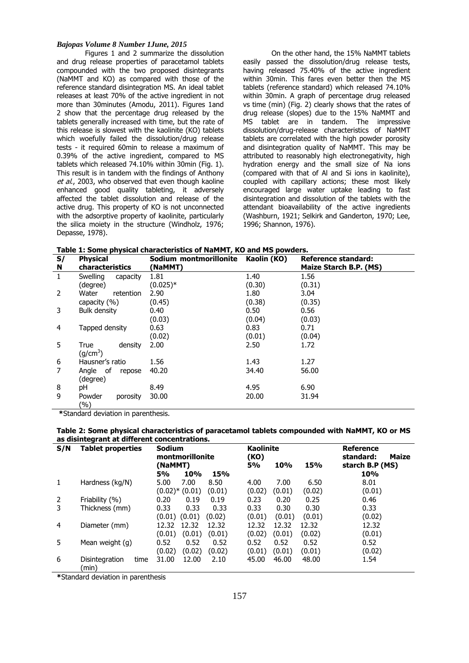#### *Bajopas Volume 8 Number 1June, 2015*

Figures 1 and 2 summarize the dissolution and drug release properties of paracetamol tablets compounded with the two proposed disintegrants (NaMMT and KO) as compared with those of the reference standard disintegration MS. An ideal tablet releases at least 70% of the active ingredient in not more than 30minutes (Amodu, 2011). Figures 1and 2 show that the percentage drug released by the tablets generally increased with time, but the rate of this release is slowest with the kaolinite (KO) tablets which woefully failed the dissolution/drug release tests - it required 60min to release a maximum of 0.39% of the active ingredient, compared to MS tablets which released 74.10% within 30min (Fig. 1). This result is in tandem with the findings of Anthony et al., 2003, who observed that even though kaoline enhanced good quality tableting, it adversely affected the tablet dissolution and release of the active drug. This property of KO is not unconnected with the adsorptive property of kaolinite, particularly the silica moiety in the structure (Windholz, 1976; Depasse, 1978).

On the other hand, the 15% NaMMT tablets easily passed the dissolution/drug release tests, having released 75.40% of the active ingredient within 30min. This fares even better then the MS tablets (reference standard) which released 74.10% within 30min. A graph of percentage drug released vs time (min) (Fig. 2) clearly shows that the rates of drug release (slopes) due to the 15% NaMMT and MS tablet are in tandem. The impressive dissolution/drug-release characteristics of NaMMT tablets are correlated with the high powder porosity and disintegration quality of NaMMT. This may be attributed to reasonably high electronegativity, high hydration energy and the small size of Na ions (compared with that of Al and Si ions in kaolinite), coupled with capillary actions; these most likely encouraged large water uptake leading to fast disintegration and dissolution of the tablets with the attendant bioavailability of the active ingredients (Washburn, 1921; Selkirk and Ganderton, 1970; Lee, 1996; Shannon, 1976).

**Table 1: Some physical characteristics of NaMMT, KO and MS powders.**

| Table 1. Some physical characteristics of Nammir, it's and my powders. |                      |                        |             |                        |  |  |  |  |  |  |
|------------------------------------------------------------------------|----------------------|------------------------|-------------|------------------------|--|--|--|--|--|--|
| S/                                                                     | <b>Physical</b>      | Sodium montmorillonite | Kaolin (KO) | Reference standard:    |  |  |  |  |  |  |
| N                                                                      | characteristics      | (NaMMT)                |             | Maize Starch B.P. (MS) |  |  |  |  |  |  |
| 1                                                                      | Swelling<br>capacity | 1.81                   | 1.40        | 1.56                   |  |  |  |  |  |  |
|                                                                        | (degree)             | $(0.025)*$             | (0.30)      | (0.31)                 |  |  |  |  |  |  |
| 2                                                                      | Water<br>retention   | 2.90                   | 1.80        | 3.04                   |  |  |  |  |  |  |
|                                                                        | capacity (%)         | (0.45)                 | (0.38)      | (0.35)                 |  |  |  |  |  |  |
| 3                                                                      | Bulk density         | 0.40                   | 0.50        | 0.56                   |  |  |  |  |  |  |
|                                                                        |                      | (0.03)                 | (0.04)      | (0.03)                 |  |  |  |  |  |  |
| 4                                                                      | Tapped density       | 0.63                   | 0.83        | 0.71                   |  |  |  |  |  |  |
|                                                                        |                      | (0.02)                 | (0.01)      | (0.04)                 |  |  |  |  |  |  |
| 5                                                                      | True<br>density      | 2.00                   | 2.50        | 1.72                   |  |  |  |  |  |  |
|                                                                        | (q/cm <sup>3</sup> ) |                        |             |                        |  |  |  |  |  |  |
| 6                                                                      | Hausner's ratio      | 1.56                   | 1.43        | 1.27                   |  |  |  |  |  |  |
|                                                                        | Angle of<br>repose   | 40.20                  | 34.40       | 56.00                  |  |  |  |  |  |  |
|                                                                        | (degree)             |                        |             |                        |  |  |  |  |  |  |
| 8                                                                      | рH                   | 8.49                   | 4.95        | 6.90                   |  |  |  |  |  |  |
| 9                                                                      | Powder<br>porosity   | 30.00                  | 20.00       | 31.94                  |  |  |  |  |  |  |
|                                                                        | (%)                  |                        |             |                        |  |  |  |  |  |  |

 **\***Standard deviation in parenthesis.

#### **Table 2: Some physical characteristics of paracetamol tablets compounded with NaMMT, KO or MS as disintegrant at different concentrations.**

| S/N            | Tablet properties               | <b>Sodium</b><br>montmorillonite |        | <b>Kaolinite</b><br>(KO) |            |        | <b>Reference</b><br>standard:<br><b>Maize</b> |
|----------------|---------------------------------|----------------------------------|--------|--------------------------|------------|--------|-----------------------------------------------|
|                |                                 | (NaMMT)                          |        | 5%                       | <b>10%</b> | 15%    | starch B.P (MS)                               |
|                |                                 | <b>5%</b><br><b>10%</b>          | 15%    |                          |            |        | 10%                                           |
| 1              | Hardness (kg/N)                 | 5.00<br>7.00                     | 8.50   | 4.00                     | 7.00       | 6.50   | 8.01                                          |
|                |                                 | $(0.02)$ * $(0.01)$              | (0.01) | (0.02)                   | (0.01)     | (0.02) | (0.01)                                        |
| 2              | Friability (%)                  | 0.19<br>0.20                     | 0.19   | 0.23                     | 0.20       | 0.25   | 0.46                                          |
| 3              | Thickness (mm)                  | 0.33<br>0.33                     | 0.33   | 0.33                     | 0.30       | 0.30   | 0.33                                          |
|                |                                 | (0.01)<br>(0.01)                 | (0.02) | (0.01)                   | (0.01)     | (0.01) | (0.02)                                        |
| $\overline{a}$ | Diameter (mm)                   | 12.32<br>12.32                   | 12.32  | 12.32                    | 12.32      | 12.32  | 12.32                                         |
|                |                                 | (0.01)<br>(0.01)                 | (0.01) | (0.02)                   | (0.01)     | (0.02) | (0.01)                                        |
| 5              | Mean weight (g)                 | 0.52<br>0.52                     | 0.52   | 0.52                     | 0.52       | 0.52   | 0.52                                          |
|                |                                 | (0.02)<br>(0.02)                 | (0.02) | (0.01)                   | (0.01)     | (0.01) | (0.02)                                        |
| 6              | time<br>Disintegration<br>(min) | 31.00<br>12.00                   | 2.10   | 45.00                    | 46.00      | 48.00  | 1.54                                          |

**\***Standard deviation in parenthesis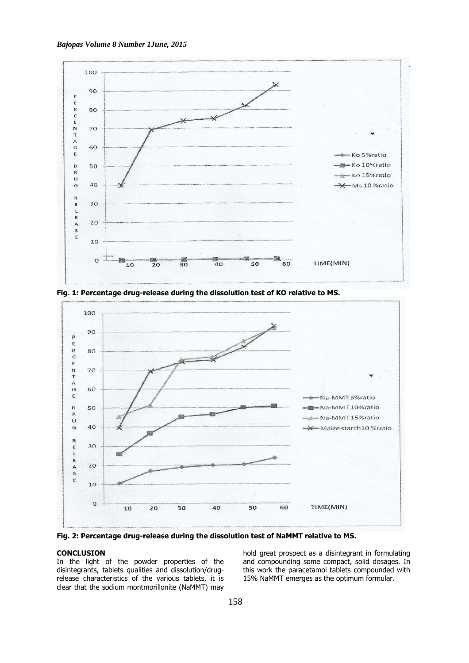



**Fig. 1: Percentage drug-release during the dissolution test of KO relative to MS.**



**Fig. 2: Percentage drug-release during the dissolution test of NaMMT relative to MS.** 

## **CONCLUSION**

In the light of the powder properties of the disintegrants, tablets qualities and dissolution/drugrelease characteristics of the various tablets, it is clear that the sodium montmorillonite (NaMMT) may hold great prospect as a disintegrant in formulating and compounding some compact, solid dosages. In this work the paracetamol tablets compounded with 15% NaMMT emerges as the optimum formular.